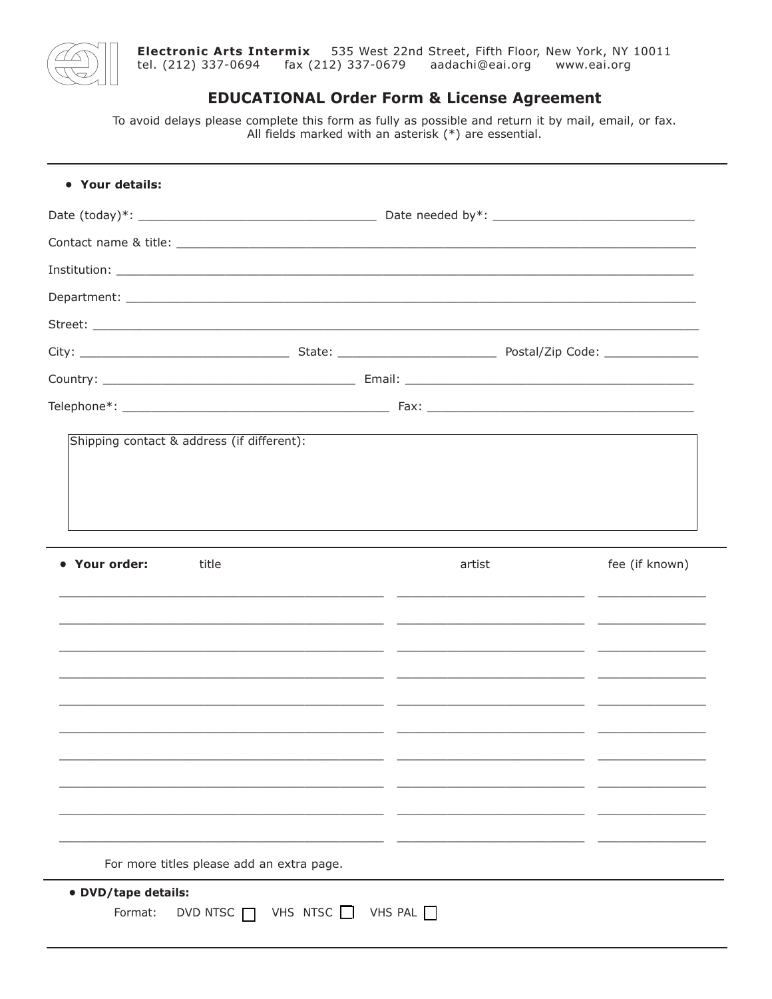

## **EDUCATIONAL Order Form & License Agreement**

To avoid delays please complete this form as fully as possible and return it by mail, email, or fax.<br>All fields marked with an asterisk  $(*)$  are essential.

| title         |       | artist | fee (if known) |
|---------------|-------|--------|----------------|
|               |       |        |                |
|               |       |        |                |
|               |       |        |                |
|               |       |        |                |
|               |       |        |                |
|               | _____ |        |                |
|               |       |        |                |
| • Your order: |       |        |                |
|               |       |        |                |